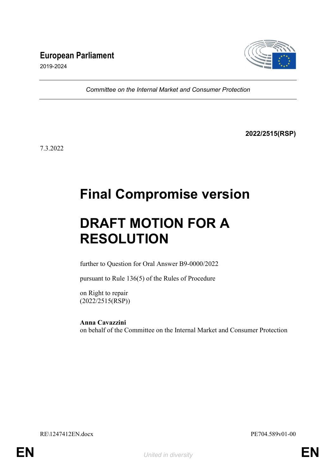# European Parliament



2019-2024

Committee on the Internal Market and Consumer Protection

2022/2515(RSP)

7.3.2022

# Final Compromise version

# DRAFT MOTION FOR A RESOLUTION

further to Question for Oral Answer B9-0000/2022

pursuant to Rule 136(5) of the Rules of Procedure

on Right to repair (2022/2515(RSP))

Anna Cavazzini on behalf of the Committee on the Internal Market and Consumer Protection

RE\1247412EN.docx PE704.589v01-00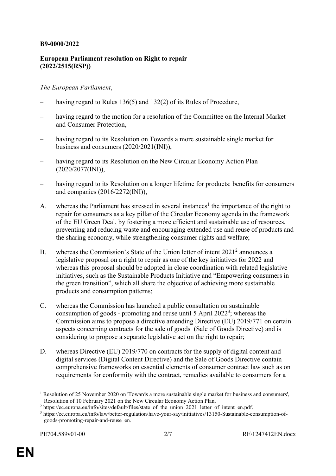# B9-0000/2022

# European Parliament resolution on Right to repair (2022/2515(RSP))

### The European Parliament,

- having regard to Rules 136(5) and 132(2) of its Rules of Procedure,
- having regard to the motion for a resolution of the Committee on the Internal Market and Consumer Protection,
- having regard to its Resolution on Towards a more sustainable single market for business and consumers (2020/2021(INI)),
- having regard to its Resolution on the New Circular Economy Action Plan (2020/2077(INI)),
- having regard to its Resolution on a longer lifetime for products: benefits for consumers and companies (2016/2272(INI)),
- A. whereas the Parliament has stressed in several instances<sup>1</sup> the importance of the right to repair for consumers as a key pillar of the Circular Economy agenda in the framework of the EU Green Deal, by fostering a more efficient and sustainable use of resources, preventing and reducing waste and encouraging extended use and reuse of products and the sharing economy, while strengthening consumer rights and welfare;
- B. whereas the Commission's State of the Union letter of intent  $2021<sup>2</sup>$  announces a legislative proposal on a right to repair as one of the key initiatives for 2022 and whereas this proposal should be adopted in close coordination with related legislative initiatives, such as the Sustainable Products Initiative and "Empowering consumers in the green transition", which all share the objective of achieving more sustainable products and consumption patterns;
- C. whereas the Commission has launched a public consultation on sustainable consumption of goods - promoting and reuse until 5 April 2022<sup>3</sup>; whereas the Commission aims to propose a directive amending Directive (EU) 2019/771 on certain aspects concerning contracts for the sale of goods (Sale of Goods Directive) and is considering to propose a separate legislative act on the right to repair;
- D. whereas Directive (EU) 2019/770 on contracts for the supply of digital content and digital services (Digital Content Directive) and the Sale of Goods Directive contain comprehensive frameworks on essential elements of consumer contract law such as on requirements for conformity with the contract, remedies available to consumers for a

-

<sup>&</sup>lt;sup>1</sup> Resolution of 25 November 2020 on 'Towards a more sustainable single market for business and consumers', Resolution of 10 February 2021 on the New Circular Economy Action Plan.

<sup>&</sup>lt;sup>2</sup> https://ec.europa.eu/info/sites/default/files/state\_of\_the\_union\_2021\_letter\_of\_intent\_en.pdf.

<sup>3</sup> https://ec.europa.eu/info/law/better-regulation/have-your-say/initiatives/13150-Sustainable-consumption-ofgoods-promoting-repair-and-reuse\_en.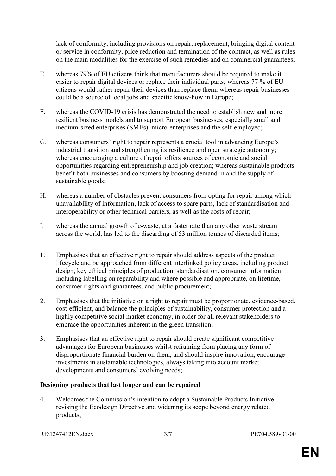lack of conformity, including provisions on repair, replacement, bringing digital content or service in conformity, price reduction and termination of the contract, as well as rules on the main modalities for the exercise of such remedies and on commercial guarantees;

- E. whereas 79% of EU citizens think that manufacturers should be required to make it easier to repair digital devices or replace their individual parts; whereas 77 % of EU citizens would rather repair their devices than replace them; whereas repair businesses could be a source of local jobs and specific know-how in Europe;
- F. whereas the COVID-19 crisis has demonstrated the need to establish new and more resilient business models and to support European businesses, especially small and medium-sized enterprises (SMEs), micro-enterprises and the self-employed;
- G. whereas consumers' right to repair represents a crucial tool in advancing Europe's industrial transition and strengthening its resilience and open strategic autonomy; whereas encouraging a culture of repair offers sources of economic and social opportunities regarding entrepreneurship and job creation; whereas sustainable products benefit both businesses and consumers by boosting demand in and the supply of sustainable goods;
- H. whereas a number of obstacles prevent consumers from opting for repair among which unavailability of information, lack of access to spare parts, lack of standardisation and interoperability or other technical barriers, as well as the costs of repair;
- I. whereas the annual growth of e-waste, at a faster rate than any other waste stream across the world, has led to the discarding of 53 million tonnes of discarded items;
- 1. Emphasises that an effective right to repair should address aspects of the product lifecycle and be approached from different interlinked policy areas, including product design, key ethical principles of production, standardisation, consumer information including labelling on reparability and where possible and appropriate, on lifetime, consumer rights and guarantees, and public procurement;
- 2. Emphasises that the initiative on a right to repair must be proportionate, evidence-based, cost-efficient, and balance the principles of sustainability, consumer protection and a highly competitive social market economy, in order for all relevant stakeholders to embrace the opportunities inherent in the green transition;
- 3. Emphasises that an effective right to repair should create significant competitive advantages for European businesses whilst refraining from placing any form of disproportionate financial burden on them, and should inspire innovation, encourage investments in sustainable technologies, always taking into account market developments and consumers' evolving needs;

# Designing products that last longer and can be repaired

4. Welcomes the Commission's intention to adopt a Sustainable Products Initiative revising the Ecodesign Directive and widening its scope beyond energy related products;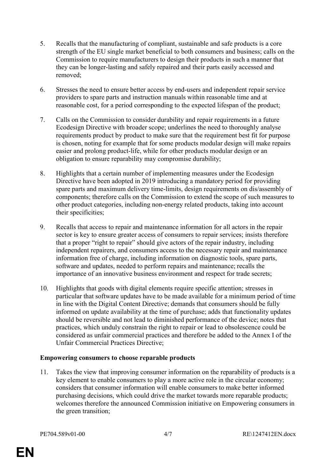- 5. Recalls that the manufacturing of compliant, sustainable and safe products is a core strength of the EU single market beneficial to both consumers and business; calls on the Commission to require manufacturers to design their products in such a manner that they can be longer-lasting and safely repaired and their parts easily accessed and removed;
- 6. Stresses the need to ensure better access by end-users and independent repair service providers to spare parts and instruction manuals within reasonable time and at reasonable cost, for a period corresponding to the expected lifespan of the product;
- 7. Calls on the Commission to consider durability and repair requirements in a future Ecodesign Directive with broader scope; underlines the need to thoroughly analyse requirements product by product to make sure that the requirement best fit for purpose is chosen, noting for example that for some products modular design will make repairs easier and prolong product-life, while for other products modular design or an obligation to ensure reparability may compromise durability;
- 8. Highlights that a certain number of implementing measures under the Ecodesign Directive have been adopted in 2019 introducing a mandatory period for providing spare parts and maximum delivery time-limits, design requirements on dis/assembly of components; therefore calls on the Commission to extend the scope of such measures to other product categories, including non-energy related products, taking into account their specificities;
- 9. Recalls that access to repair and maintenance information for all actors in the repair sector is key to ensure greater access of consumers to repair services; insists therefore that a proper "right to repair" should give actors of the repair industry, including independent repairers, and consumers access to the necessary repair and maintenance information free of charge, including information on diagnostic tools, spare parts, software and updates, needed to perform repairs and maintenance; recalls the importance of an innovative business environment and respect for trade secrets;
- 10. Highlights that goods with digital elements require specific attention; stresses in particular that software updates have to be made available for a minimum period of time in line with the Digital Content Directive; demands that consumers should be fully informed on update availability at the time of purchase; adds that functionality updates should be reversible and not lead to diminished performance of the device; notes that practices, which unduly constrain the right to repair or lead to obsolescence could be considered as unfair commercial practices and therefore be added to the Annex I of the Unfair Commercial Practices Directive;

# Empowering consumers to choose reparable products

11. Takes the view that improving consumer information on the reparability of products is a key element to enable consumers to play a more active role in the circular economy; considers that consumer information will enable consumers to make better informed purchasing decisions, which could drive the market towards more reparable products; welcomes therefore the announced Commission initiative on Empowering consumers in the green transition;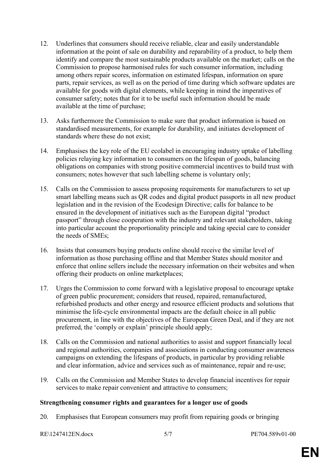- 12. Underlines that consumers should receive reliable, clear and easily understandable information at the point of sale on durability and reparability of a product, to help them identify and compare the most sustainable products available on the market; calls on the Commission to propose harmonised rules for such consumer information, including among others repair scores, information on estimated lifespan, information on spare parts, repair services, as well as on the period of time during which software updates are available for goods with digital elements, while keeping in mind the imperatives of consumer safety; notes that for it to be useful such information should be made available at the time of purchase;
- 13. Asks furthermore the Commission to make sure that product information is based on standardised measurements, for example for durability, and initiates development of standards where these do not exist;
- 14. Emphasises the key role of the EU ecolabel in encouraging industry uptake of labelling policies relaying key information to consumers on the lifespan of goods, balancing obligations on companies with strong positive commercial incentives to build trust with consumers; notes however that such labelling scheme is voluntary only;
- 15. Calls on the Commission to assess proposing requirements for manufacturers to set up smart labelling means such as QR codes and digital product passports in all new product legislation and in the revision of the Ecodesign Directive; calls for balance to be ensured in the development of initiatives such as the European digital "product passport" through close cooperation with the industry and relevant stakeholders, taking into particular account the proportionality principle and taking special care to consider the needs of SMEs;
- 16. Insists that consumers buying products online should receive the similar level of information as those purchasing offline and that Member States should monitor and enforce that online sellers include the necessary information on their websites and when offering their products on online marketplaces;
- 17. Urges the Commission to come forward with a legislative proposal to encourage uptake of green public procurement; considers that reused, repaired, remanufactured, refurbished products and other energy and resource efficient products and solutions that minimise the life-cycle environmental impacts are the default choice in all public procurement, in line with the objectives of the European Green Deal, and if they are not preferred, the 'comply or explain' principle should apply;
- 18. Calls on the Commission and national authorities to assist and support financially local and regional authorities, companies and associations in conducting consumer awareness campaigns on extending the lifespans of products, in particular by providing reliable and clear information, advice and services such as of maintenance, repair and re-use;
- 19. Calls on the Commission and Member States to develop financial incentives for repair services to make repair convenient and attractive to consumers;

#### Strengthening consumer rights and guarantees for a longer use of goods

20. Emphasises that European consumers may profit from repairing goods or bringing

```
RE\1247412EN.docx 5/7 PE704.589v01-00
```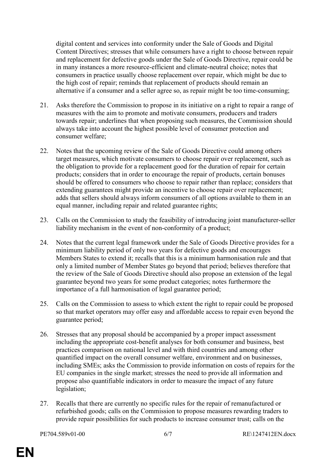digital content and services into conformity under the Sale of Goods and Digital Content Directives; stresses that while consumers have a right to choose between repair and replacement for defective goods under the Sale of Goods Directive, repair could be in many instances a more resource-efficient and climate-neutral choice; notes that consumers in practice usually choose replacement over repair, which might be due to the high cost of repair; reminds that replacement of products should remain an alternative if a consumer and a seller agree so, as repair might be too time-consuming;

- 21. Asks therefore the Commission to propose in its initiative on a right to repair a range of measures with the aim to promote and motivate consumers, producers and traders towards repair; underlines that when proposing such measures, the Commission should always take into account the highest possible level of consumer protection and consumer welfare;
- 22. Notes that the upcoming review of the Sale of Goods Directive could among others target measures, which motivate consumers to choose repair over replacement, such as the obligation to provide for a replacement good for the duration of repair for certain products; considers that in order to encourage the repair of products, certain bonuses should be offered to consumers who choose to repair rather than replace; considers that extending guarantees might provide an incentive to choose repair over replacement; adds that sellers should always inform consumers of all options available to them in an equal manner, including repair and related guarantee rights;
- 23. Calls on the Commission to study the feasibility of introducing joint manufacturer-seller liability mechanism in the event of non-conformity of a product;
- 24. Notes that the current legal framework under the Sale of Goods Directive provides for a minimum liability period of only two years for defective goods and encourages Members States to extend it; recalls that this is a minimum harmonisation rule and that only a limited number of Member States go beyond that period; believes therefore that the review of the Sale of Goods Directive should also propose an extension of the legal guarantee beyond two years for some product categories; notes furthermore the importance of a full harmonisation of legal guarantee period;
- 25. Calls on the Commission to assess to which extent the right to repair could be proposed so that market operators may offer easy and affordable access to repair even beyond the guarantee period;
- 26. Stresses that any proposal should be accompanied by a proper impact assessment including the appropriate cost-benefit analyses for both consumer and business, best practices comparison on national level and with third countries and among other quantified impact on the overall consumer welfare, environment and on businesses, including SMEs; asks the Commission to provide information on costs of repairs for the EU companies in the single market; stresses the need to provide all information and propose also quantifiable indicators in order to measure the impact of any future legislation;
- 27. Recalls that there are currently no specific rules for the repair of remanufactured or refurbished goods; calls on the Commission to propose measures rewarding traders to provide repair possibilities for such products to increase consumer trust; calls on the